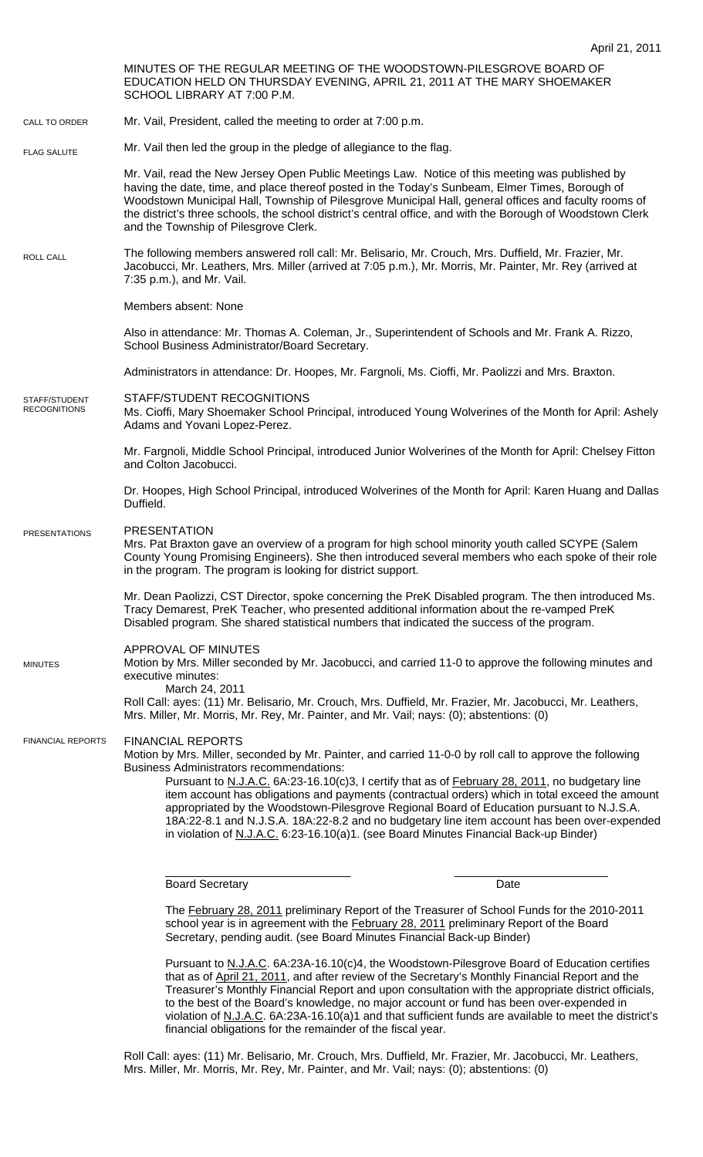MINUTES OF THE REGULAR MEETING OF THE WOODSTOWN-PILESGROVE BOARD OF EDUCATION HELD ON THURSDAY EVENING, APRIL 21, 2011 AT THE MARY SHOEMAKER SCHOOL LIBRARY AT 7:00 P.M. Mr. Vail, President, called the meeting to order at 7:00 p.m. Mr. Vail then led the group in the pledge of allegiance to the flag. Mr. Vail, read the New Jersey Open Public Meetings Law. Notice of this meeting was published by having the date, time, and place thereof posted in the Today's Sunbeam, Elmer Times, Borough of Woodstown Municipal Hall, Township of Pilesgrove Municipal Hall, general offices and faculty rooms of the district's three schools, the school district's central office, and with the Borough of Woodstown Clerk and the Township of Pilesgrove Clerk. The following members answered roll call: Mr. Belisario, Mr. Crouch, Mrs. Duffield, Mr. Frazier, Mr. Jacobucci, Mr. Leathers, Mrs. Miller (arrived at 7:05 p.m.), Mr. Morris, Mr. Painter, Mr. Rey (arrived at 7:35 p.m.), and Mr. Vail. Members absent: None Also in attendance: Mr. Thomas A. Coleman, Jr., Superintendent of Schools and Mr. Frank A. Rizzo, School Business Administrator/Board Secretary. Administrators in attendance: Dr. Hoopes, Mr. Fargnoli, Ms. Cioffi, Mr. Paolizzi and Mrs. Braxton. STAFF/STUDENT RECOGNITIONS Ms. Cioffi, Mary Shoemaker School Principal, introduced Young Wolverines of the Month for April: Ashely Adams and Yovani Lopez-Perez. Mr. Fargnoli, Middle School Principal, introduced Junior Wolverines of the Month for April: Chelsey Fitton and Colton Jacobucci. Dr. Hoopes, High School Principal, introduced Wolverines of the Month for April: Karen Huang and Dallas Duffield. PRESENTATION Mrs. Pat Braxton gave an overview of a program for high school minority youth called SCYPE (Salem County Young Promising Engineers). She then introduced several members who each spoke of their role in the program. The program is looking for district support. Mr. Dean Paolizzi, CST Director, spoke concerning the PreK Disabled program. The then introduced Ms. Tracy Demarest, PreK Teacher, who presented additional information about the re-vamped PreK Disabled program. She shared statistical numbers that indicated the success of the program. APPROVAL OF MINUTES Motion by Mrs. Miller seconded by Mr. Jacobucci, and carried 11-0 to approve the following minutes and executive minutes: March 24, 2011 Roll Call: ayes: (11) Mr. Belisario, Mr. Crouch, Mrs. Duffield, Mr. Frazier, Mr. Jacobucci, Mr. Leathers, Mrs. Miller, Mr. Morris, Mr. Rey, Mr. Painter, and Mr. Vail; nays: (0); abstentions: (0) FINANCIAL REPORTS Motion by Mrs. Miller, seconded by Mr. Painter, and carried 11-0-0 by roll call to approve the following Business Administrators recommendations: Pursuant to N.J.A.C. 6A:23-16.10(c)3, I certify that as of February 28, 2011, no budgetary line item account has obligations and payments (contractual orders) which in total exceed the amount appropriated by the Woodstown-Pilesgrove Regional Board of Education pursuant to N.J.S.A. 18A:22-8.1 and N.J.S.A. 18A:22-8.2 and no budgetary line item account has been over-expended in violation of N.J.A.C. 6:23-16.10(a)1. (see Board Minutes Financial Back-up Binder) \_\_\_\_\_\_\_\_\_\_\_\_\_\_\_\_\_\_\_\_\_\_\_\_\_\_\_\_\_ \_\_\_\_\_\_\_\_\_\_\_\_\_\_\_\_\_\_\_\_\_\_\_\_ CALL TO ORDER ROLL CALL FLAG SALUTE MINUTES FINANCIAL REPORTS STAFF/STUDENT RECOGNITIONS PRESENTATIONS

Board Secretary Date **Date** 

The February 28, 2011 preliminary Report of the Treasurer of School Funds for the 2010-2011 school year is in agreement with the **February 28, 2011** preliminary Report of the Board Secretary, pending audit. (see Board Minutes Financial Back-up Binder)

Pursuant to N.J.A.C. 6A:23A-16.10(c)4, the Woodstown-Pilesgrove Board of Education certifies that as of April 21, 2011, and after review of the Secretary's Monthly Financial Report and the Treasurer's Monthly Financial Report and upon consultation with the appropriate district officials, to the best of the Board's knowledge, no major account or fund has been over-expended in violation of N.J.A.C. 6A:23A-16.10(a)1 and that sufficient funds are available to meet the district's financial obligations for the remainder of the fiscal year.

Roll Call: ayes: (11) Mr. Belisario, Mr. Crouch, Mrs. Duffield, Mr. Frazier, Mr. Jacobucci, Mr. Leathers, Mrs. Miller, Mr. Morris, Mr. Rey, Mr. Painter, and Mr. Vail; nays: (0); abstentions: (0)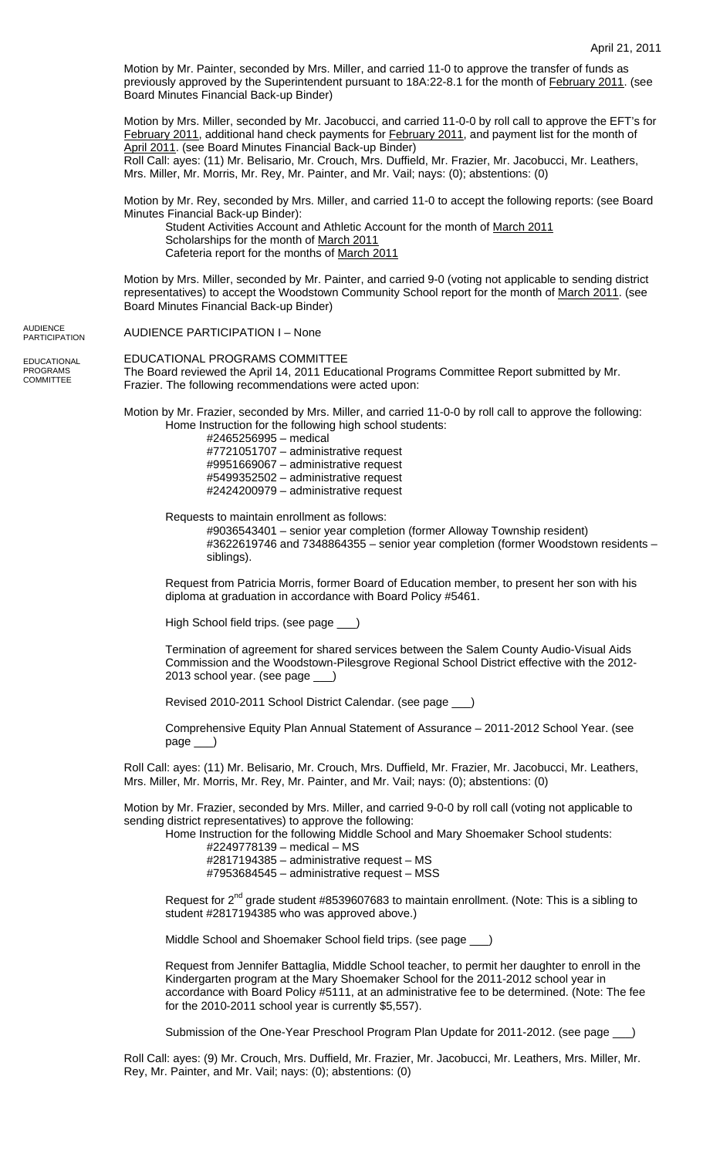Motion by Mr. Painter, seconded by Mrs. Miller, and carried 11-0 to approve the transfer of funds as previously approved by the Superintendent pursuant to 18A:22-8.1 for the month of February 2011. (see Board Minutes Financial Back-up Binder)

Motion by Mrs. Miller, seconded by Mr. Jacobucci, and carried 11-0-0 by roll call to approve the EFT's for February 2011, additional hand check payments for February 2011, and payment list for the month of April 2011. (see Board Minutes Financial Back-up Binder) Roll Call: ayes: (11) Mr. Belisario, Mr. Crouch, Mrs. Duffield, Mr. Frazier, Mr. Jacobucci, Mr. Leathers, Mrs. Miller, Mr. Morris, Mr. Rey, Mr. Painter, and Mr. Vail; nays: (0); abstentions: (0)

Motion by Mr. Rey, seconded by Mrs. Miller, and carried 11-0 to accept the following reports: (see Board Minutes Financial Back-up Binder):

Student Activities Account and Athletic Account for the month of March 2011 Scholarships for the month of March 2011 Cafeteria report for the months of March 2011

Motion by Mrs. Miller, seconded by Mr. Painter, and carried 9-0 (voting not applicable to sending district representatives) to accept the Woodstown Community School report for the month of March 2011. (see Board Minutes Financial Back-up Binder)

AUDIENCE PARTICIPATION I – None AUDIENCE **PARTICIPATION** 

**EDUCATIONAL** PROGRAMS COMMITTEE

EDUCATIONAL PROGRAMS COMMITTEE The Board reviewed the April 14, 2011 Educational Programs Committee Report submitted by Mr. Frazier. The following recommendations were acted upon:

Motion by Mr. Frazier, seconded by Mrs. Miller, and carried 11-0-0 by roll call to approve the following: Home Instruction for the following high school students:

#2465256995 – medical #7721051707 – administrative request #9951669067 – administrative request #5499352502 – administrative request #2424200979 – administrative request

Requests to maintain enrollment as follows:

 #9036543401 – senior year completion (former Alloway Township resident) #3622619746 and 7348864355 – senior year completion (former Woodstown residents – siblings).

Request from Patricia Morris, former Board of Education member, to present her son with his diploma at graduation in accordance with Board Policy #5461.

High School field trips. (see page \_\_\_)

Termination of agreement for shared services between the Salem County Audio-Visual Aids Commission and the Woodstown-Pilesgrove Regional School District effective with the 2012- 2013 school year. (see page \_\_\_)

Revised 2010-2011 School District Calendar. (see page \_\_\_)

Comprehensive Equity Plan Annual Statement of Assurance – 2011-2012 School Year. (see page \_\_\_)

Roll Call: ayes: (11) Mr. Belisario, Mr. Crouch, Mrs. Duffield, Mr. Frazier, Mr. Jacobucci, Mr. Leathers, Mrs. Miller, Mr. Morris, Mr. Rey, Mr. Painter, and Mr. Vail; nays: (0); abstentions: (0)

Motion by Mr. Frazier, seconded by Mrs. Miller, and carried 9-0-0 by roll call (voting not applicable to sending district representatives) to approve the following:

Home Instruction for the following Middle School and Mary Shoemaker School students:

#2249778139 – medical – MS #2817194385 – administrative request – MS #7953684545 – administrative request – MSS

Request for  $2<sup>nd</sup>$  grade student #8539607683 to maintain enrollment. (Note: This is a sibling to student #2817194385 who was approved above.)

Middle School and Shoemaker School field trips. (see page \_\_\_)

Request from Jennifer Battaglia, Middle School teacher, to permit her daughter to enroll in the Kindergarten program at the Mary Shoemaker School for the 2011-2012 school year in accordance with Board Policy #5111, at an administrative fee to be determined. (Note: The fee for the 2010-2011 school year is currently \$5,557).

Submission of the One-Year Preschool Program Plan Update for 2011-2012. (see page \_

Roll Call: ayes: (9) Mr. Crouch, Mrs. Duffield, Mr. Frazier, Mr. Jacobucci, Mr. Leathers, Mrs. Miller, Mr. Rey, Mr. Painter, and Mr. Vail; nays: (0); abstentions: (0)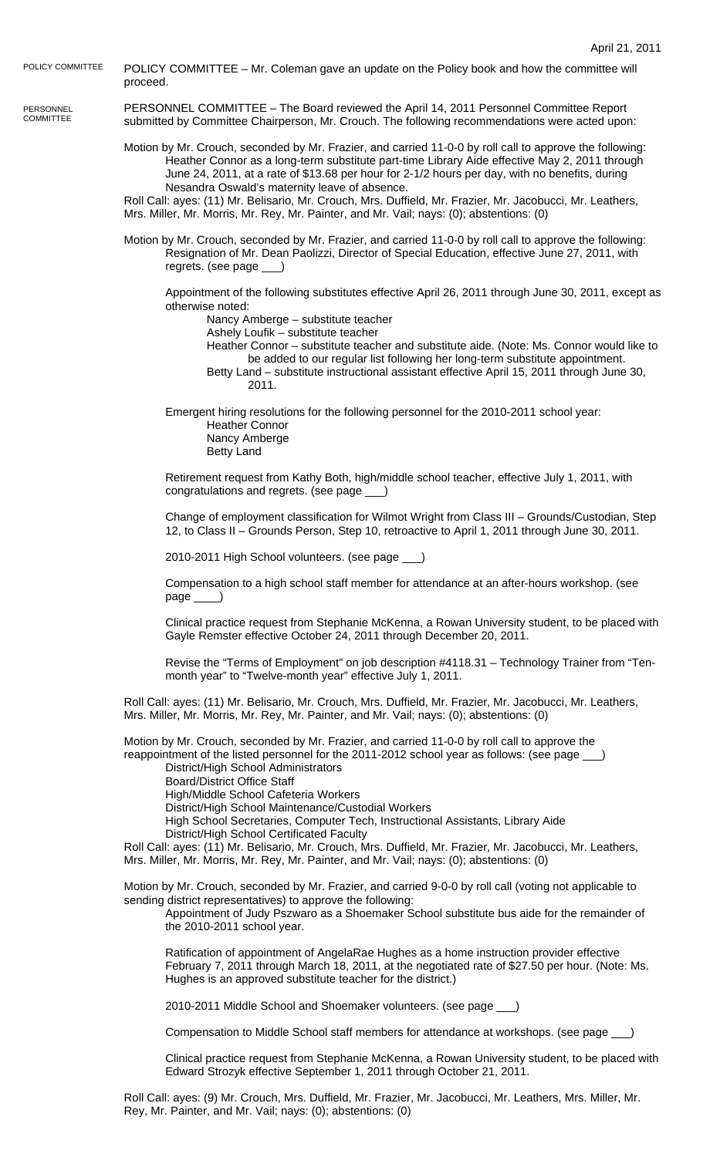POLICY COMMITTEE – Mr. Coleman gave an update on the Policy book and how the committee will proceed. POLICY COMMITTEE

PERSONNEL **COMMITTEE** 

PERSONNEL COMMITTEE – The Board reviewed the April 14, 2011 Personnel Committee Report submitted by Committee Chairperson, Mr. Crouch. The following recommendations were acted upon:

Motion by Mr. Crouch, seconded by Mr. Frazier, and carried 11-0-0 by roll call to approve the following: Heather Connor as a long-term substitute part-time Library Aide effective May 2, 2011 through June 24, 2011, at a rate of \$13.68 per hour for 2-1/2 hours per day, with no benefits, during Nesandra Oswald's maternity leave of absence.

Roll Call: ayes: (11) Mr. Belisario, Mr. Crouch, Mrs. Duffield, Mr. Frazier, Mr. Jacobucci, Mr. Leathers, Mrs. Miller, Mr. Morris, Mr. Rey, Mr. Painter, and Mr. Vail; nays: (0); abstentions: (0)

Motion by Mr. Crouch, seconded by Mr. Frazier, and carried 11-0-0 by roll call to approve the following: Resignation of Mr. Dean Paolizzi, Director of Special Education, effective June 27, 2011, with regrets. (see page )

Appointment of the following substitutes effective April 26, 2011 through June 30, 2011, except as otherwise noted:

Nancy Amberge – substitute teacher

Ashely Loufik – substitute teacher

Heather Connor – substitute teacher and substitute aide. (Note: Ms. Connor would like to be added to our regular list following her long-term substitute appointment.

Betty Land – substitute instructional assistant effective April 15, 2011 through June 30, 2011.

 Emergent hiring resolutions for the following personnel for the 2010-2011 school year: Heather Connor

 Nancy Amberge Betty Land

Retirement request from Kathy Both, high/middle school teacher, effective July 1, 2011, with congratulations and regrets. (see page \_\_\_)

Change of employment classification for Wilmot Wright from Class III – Grounds/Custodian, Step 12, to Class II – Grounds Person, Step 10, retroactive to April 1, 2011 through June 30, 2011.

2010-2011 High School volunteers. (see page \_\_\_)

Compensation to a high school staff member for attendance at an after-hours workshop. (see page \_\_\_\_)

Clinical practice request from Stephanie McKenna, a Rowan University student, to be placed with Gayle Remster effective October 24, 2011 through December 20, 2011.

Revise the "Terms of Employment" on job description #4118.31 – Technology Trainer from "Tenmonth year" to "Twelve-month year" effective July 1, 2011.

Roll Call: ayes: (11) Mr. Belisario, Mr. Crouch, Mrs. Duffield, Mr. Frazier, Mr. Jacobucci, Mr. Leathers, Mrs. Miller, Mr. Morris, Mr. Rey, Mr. Painter, and Mr. Vail; nays: (0); abstentions: (0)

Motion by Mr. Crouch, seconded by Mr. Frazier, and carried 11-0-0 by roll call to approve the reappointment of the listed personnel for the 2011-2012 school year as follows: (see page \_

District/High School Administrators

Board/District Office Staff

High/Middle School Cafeteria Workers

District/High School Maintenance/Custodial Workers

 High School Secretaries, Computer Tech, Instructional Assistants, Library Aide District/High School Certificated Faculty

Roll Call: ayes: (11) Mr. Belisario, Mr. Crouch, Mrs. Duffield, Mr. Frazier, Mr. Jacobucci, Mr. Leathers, Mrs. Miller, Mr. Morris, Mr. Rey, Mr. Painter, and Mr. Vail; nays: (0); abstentions: (0)

Motion by Mr. Crouch, seconded by Mr. Frazier, and carried 9-0-0 by roll call (voting not applicable to sending district representatives) to approve the following:

Appointment of Judy Pszwaro as a Shoemaker School substitute bus aide for the remainder of the 2010-2011 school year.

Ratification of appointment of AngelaRae Hughes as a home instruction provider effective February 7, 2011 through March 18, 2011, at the negotiated rate of \$27.50 per hour. (Note: Ms. Hughes is an approved substitute teacher for the district.)

2010-2011 Middle School and Shoemaker volunteers. (see page \_\_\_)

Compensation to Middle School staff members for attendance at workshops. (see page \_\_\_)

Clinical practice request from Stephanie McKenna, a Rowan University student, to be placed with Edward Strozyk effective September 1, 2011 through October 21, 2011.

Roll Call: ayes: (9) Mr. Crouch, Mrs. Duffield, Mr. Frazier, Mr. Jacobucci, Mr. Leathers, Mrs. Miller, Mr. Rey, Mr. Painter, and Mr. Vail; nays: (0); abstentions: (0)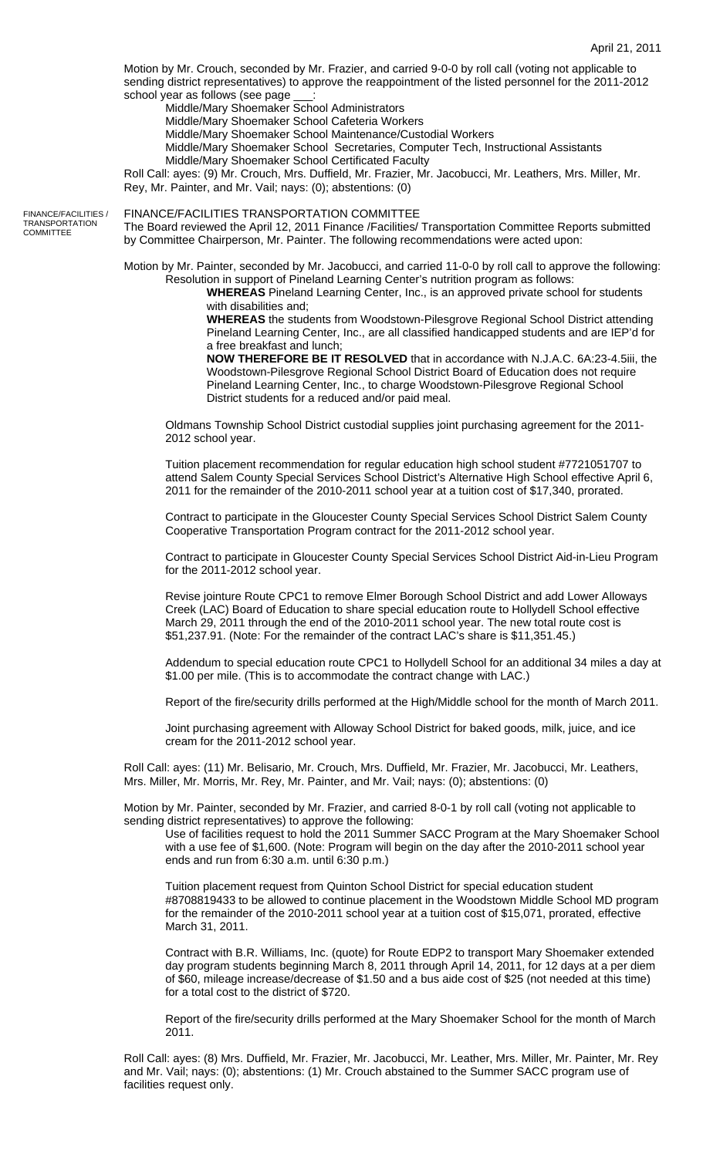Motion by Mr. Crouch, seconded by Mr. Frazier, and carried 9-0-0 by roll call (voting not applicable to sending district representatives) to approve the reappointment of the listed personnel for the 2011-2012 school year as follows (see page

Middle/Mary Shoemaker School Administrators

Middle/Mary Shoemaker School Cafeteria Workers

Middle/Mary Shoemaker School Maintenance/Custodial Workers

Middle/Mary Shoemaker School Secretaries, Computer Tech, Instructional Assistants Middle/Mary Shoemaker School Certificated Faculty

Roll Call: ayes: (9) Mr. Crouch, Mrs. Duffield, Mr. Frazier, Mr. Jacobucci, Mr. Leathers, Mrs. Miller, Mr. Rey, Mr. Painter, and Mr. Vail; nays: (0); abstentions: (0)

FINANCE/FACILITIES / **TRANSPORTATION COMMITTEE** 

FINANCE/FACILITIES TRANSPORTATION COMMITTEE

The Board reviewed the April 12, 2011 Finance /Facilities/ Transportation Committee Reports submitted by Committee Chairperson, Mr. Painter. The following recommendations were acted upon:

Motion by Mr. Painter, seconded by Mr. Jacobucci, and carried 11-0-0 by roll call to approve the following: Resolution in support of Pineland Learning Center's nutrition program as follows:

**WHEREAS** Pineland Learning Center, Inc., is an approved private school for students with disabilities and;

**WHEREAS** the students from Woodstown-Pilesgrove Regional School District attending Pineland Learning Center, Inc., are all classified handicapped students and are IEP'd for a free breakfast and lunch;

**NOW THEREFORE BE IT RESOLVED** that in accordance with N.J.A.C. 6A:23-4.5iii, the Woodstown-Pilesgrove Regional School District Board of Education does not require Pineland Learning Center, Inc., to charge Woodstown-Pilesgrove Regional School District students for a reduced and/or paid meal.

 Oldmans Township School District custodial supplies joint purchasing agreement for the 2011- 2012 school year.

Tuition placement recommendation for regular education high school student #7721051707 to attend Salem County Special Services School District's Alternative High School effective April 6, 2011 for the remainder of the 2010-2011 school year at a tuition cost of \$17,340, prorated.

Contract to participate in the Gloucester County Special Services School District Salem County Cooperative Transportation Program contract for the 2011-2012 school year.

Contract to participate in Gloucester County Special Services School District Aid-in-Lieu Program for the 2011-2012 school year.

Revise jointure Route CPC1 to remove Elmer Borough School District and add Lower Alloways Creek (LAC) Board of Education to share special education route to Hollydell School effective March 29, 2011 through the end of the 2010-2011 school year. The new total route cost is \$51,237.91. (Note: For the remainder of the contract LAC's share is \$11,351.45.)

Addendum to special education route CPC1 to Hollydell School for an additional 34 miles a day at \$1.00 per mile. (This is to accommodate the contract change with LAC.)

Report of the fire/security drills performed at the High/Middle school for the month of March 2011.

Joint purchasing agreement with Alloway School District for baked goods, milk, juice, and ice cream for the 2011-2012 school year.

Roll Call: ayes: (11) Mr. Belisario, Mr. Crouch, Mrs. Duffield, Mr. Frazier, Mr. Jacobucci, Mr. Leathers, Mrs. Miller, Mr. Morris, Mr. Rey, Mr. Painter, and Mr. Vail; nays: (0); abstentions: (0)

Motion by Mr. Painter, seconded by Mr. Frazier, and carried 8-0-1 by roll call (voting not applicable to sending district representatives) to approve the following:

Use of facilities request to hold the 2011 Summer SACC Program at the Mary Shoemaker School with a use fee of \$1,600. (Note: Program will begin on the day after the 2010-2011 school year ends and run from 6:30 a.m. until 6:30 p.m.)

Tuition placement request from Quinton School District for special education student #8708819433 to be allowed to continue placement in the Woodstown Middle School MD program for the remainder of the 2010-2011 school year at a tuition cost of \$15,071, prorated, effective March 31, 2011.

Contract with B.R. Williams, Inc. (quote) for Route EDP2 to transport Mary Shoemaker extended day program students beginning March 8, 2011 through April 14, 2011, for 12 days at a per diem of \$60, mileage increase/decrease of \$1.50 and a bus aide cost of \$25 (not needed at this time) for a total cost to the district of \$720.

Report of the fire/security drills performed at the Mary Shoemaker School for the month of March 2011.

Roll Call: ayes: (8) Mrs. Duffield, Mr. Frazier, Mr. Jacobucci, Mr. Leather, Mrs. Miller, Mr. Painter, Mr. Rey and Mr. Vail; nays: (0); abstentions: (1) Mr. Crouch abstained to the Summer SACC program use of facilities request only.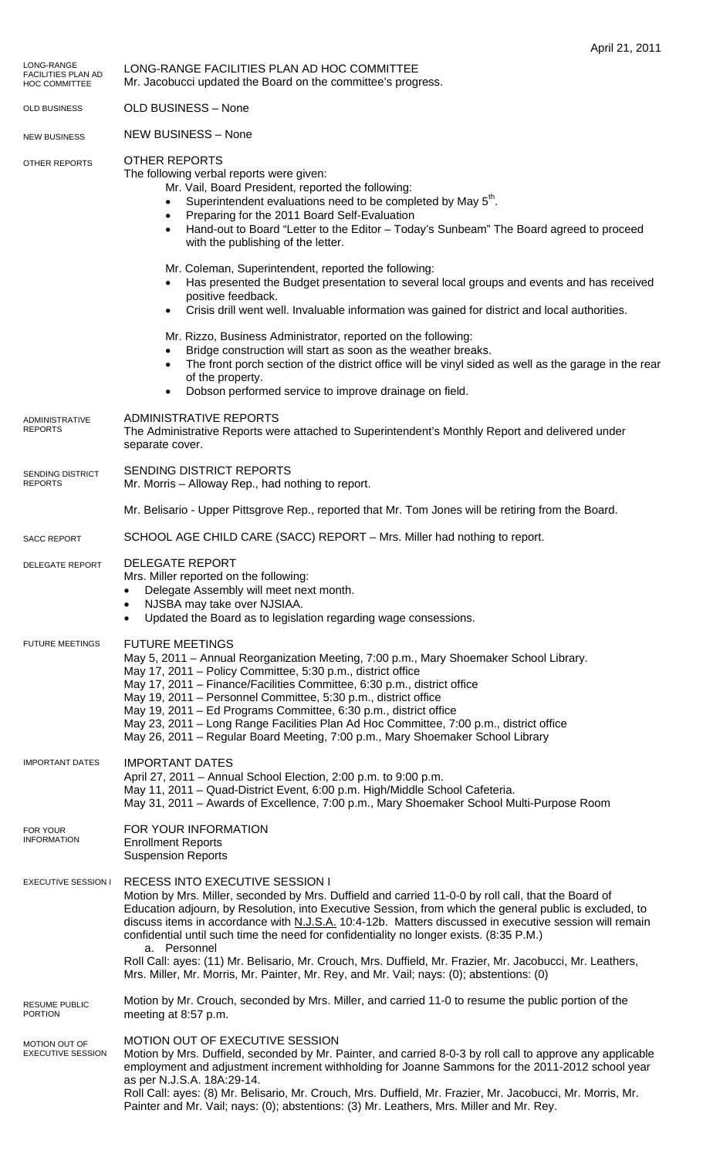| LONG-RANGE<br><b>FACILITIES PLAN AD</b><br><b>HOC COMMITTEE</b> | LONG-RANGE FACILITIES PLAN AD HOC COMMITTEE<br>Mr. Jacobucci updated the Board on the committee's progress.                                                                                                                                                                                                                                                                                                                                                                                                                                                                                |
|-----------------------------------------------------------------|--------------------------------------------------------------------------------------------------------------------------------------------------------------------------------------------------------------------------------------------------------------------------------------------------------------------------------------------------------------------------------------------------------------------------------------------------------------------------------------------------------------------------------------------------------------------------------------------|
| OLD BUSINESS                                                    | <b>OLD BUSINESS - None</b>                                                                                                                                                                                                                                                                                                                                                                                                                                                                                                                                                                 |
| <b>NEW BUSINESS</b>                                             | <b>NEW BUSINESS - None</b>                                                                                                                                                                                                                                                                                                                                                                                                                                                                                                                                                                 |
| OTHER REPORTS                                                   | <b>OTHER REPORTS</b><br>The following verbal reports were given:<br>Mr. Vail, Board President, reported the following:<br>Superintendent evaluations need to be completed by May 5 <sup>th</sup> .<br>Preparing for the 2011 Board Self-Evaluation<br>Hand-out to Board "Letter to the Editor - Today's Sunbeam" The Board agreed to proceed<br>with the publishing of the letter.                                                                                                                                                                                                         |
|                                                                 | Mr. Coleman, Superintendent, reported the following:<br>Has presented the Budget presentation to several local groups and events and has received<br>positive feedback.<br>Crisis drill went well. Invaluable information was gained for district and local authorities.                                                                                                                                                                                                                                                                                                                   |
|                                                                 | Mr. Rizzo, Business Administrator, reported on the following:<br>Bridge construction will start as soon as the weather breaks.<br>The front porch section of the district office will be vinyl sided as well as the garage in the rear<br>of the property.<br>Dobson performed service to improve drainage on field.                                                                                                                                                                                                                                                                       |
| <b>ADMINISTRATIVE</b><br><b>REPORTS</b>                         | <b>ADMINISTRATIVE REPORTS</b><br>The Administrative Reports were attached to Superintendent's Monthly Report and delivered under<br>separate cover.                                                                                                                                                                                                                                                                                                                                                                                                                                        |
| SENDING DISTRICT<br><b>REPORTS</b>                              | SENDING DISTRICT REPORTS<br>Mr. Morris - Alloway Rep., had nothing to report.                                                                                                                                                                                                                                                                                                                                                                                                                                                                                                              |
|                                                                 | Mr. Belisario - Upper Pittsgrove Rep., reported that Mr. Tom Jones will be retiring from the Board.                                                                                                                                                                                                                                                                                                                                                                                                                                                                                        |
| <b>SACC REPORT</b>                                              | SCHOOL AGE CHILD CARE (SACC) REPORT - Mrs. Miller had nothing to report.                                                                                                                                                                                                                                                                                                                                                                                                                                                                                                                   |
| DELEGATE REPORT                                                 | <b>DELEGATE REPORT</b><br>Mrs. Miller reported on the following:<br>Delegate Assembly will meet next month.<br>NJSBA may take over NJSIAA.<br>$\bullet$<br>Updated the Board as to legislation regarding wage consessions.<br>$\bullet$                                                                                                                                                                                                                                                                                                                                                    |
| <b>FUTURE MEETINGS</b>                                          | <b>FUTURE MEETINGS</b><br>May 5, 2011 - Annual Reorganization Meeting, 7:00 p.m., Mary Shoemaker School Library.<br>May 17, 2011 - Policy Committee, 5:30 p.m., district office<br>May 17, 2011 - Finance/Facilities Committee, 6:30 p.m., district office<br>May 19, 2011 - Personnel Committee, 5:30 p.m., district office<br>May 19, 2011 – Ed Programs Committee, 6:30 p.m., district office<br>May 23, 2011 - Long Range Facilities Plan Ad Hoc Committee, 7:00 p.m., district office<br>May 26, 2011 - Regular Board Meeting, 7:00 p.m., Mary Shoemaker School Library               |
| <b>IMPORTANT DATES</b>                                          | <b>IMPORTANT DATES</b><br>April 27, 2011 - Annual School Election, 2:00 p.m. to 9:00 p.m.<br>May 11, 2011 - Quad-District Event, 6:00 p.m. High/Middle School Cafeteria.<br>May 31, 2011 - Awards of Excellence, 7:00 p.m., Mary Shoemaker School Multi-Purpose Room                                                                                                                                                                                                                                                                                                                       |
| FOR YOUR<br><b>INFORMATION</b>                                  | FOR YOUR INFORMATION<br><b>Enrollment Reports</b><br><b>Suspension Reports</b>                                                                                                                                                                                                                                                                                                                                                                                                                                                                                                             |
| EXECUTIVE SESSION I                                             | <b>RECESS INTO EXECUTIVE SESSION I</b><br>Motion by Mrs. Miller, seconded by Mrs. Duffield and carried 11-0-0 by roll call, that the Board of<br>Education adjourn, by Resolution, into Executive Session, from which the general public is excluded, to<br>discuss items in accordance with N.J.S.A. 10:4-12b. Matters discussed in executive session will remain<br>confidential until such time the need for confidentiality no longer exists. (8:35 P.M.)<br>a. Personnel<br>Roll Call: ayes: (11) Mr. Belisario, Mr. Crouch, Mrs. Duffield, Mr. Frazier, Mr. Jacobucci, Mr. Leathers, |
| <b>RESUME PUBLIC</b>                                            | Mrs. Miller, Mr. Morris, Mr. Painter, Mr. Rey, and Mr. Vail; nays: (0); abstentions: (0)<br>Motion by Mr. Crouch, seconded by Mrs. Miller, and carried 11-0 to resume the public portion of the                                                                                                                                                                                                                                                                                                                                                                                            |
| <b>PORTION</b>                                                  | meeting at 8:57 p.m.                                                                                                                                                                                                                                                                                                                                                                                                                                                                                                                                                                       |
| MOTION OUT OF<br><b>EXECUTIVE SESSION</b>                       | MOTION OUT OF EXECUTIVE SESSION<br>Motion by Mrs. Duffield, seconded by Mr. Painter, and carried 8-0-3 by roll call to approve any applicable<br>employment and adjustment increment withholding for Joanne Sammons for the 2011-2012 school year<br>as per N.J.S.A. 18A:29-14.<br>Roll Call: ayes: (8) Mr. Belisario, Mr. Crouch, Mrs. Duffield, Mr. Frazier, Mr. Jacobucci, Mr. Morris, Mr.                                                                                                                                                                                              |

Painter and Mr. Vail; nays: (0); abstentions: (3) Mr. Leathers, Mrs. Miller and Mr. Rey.